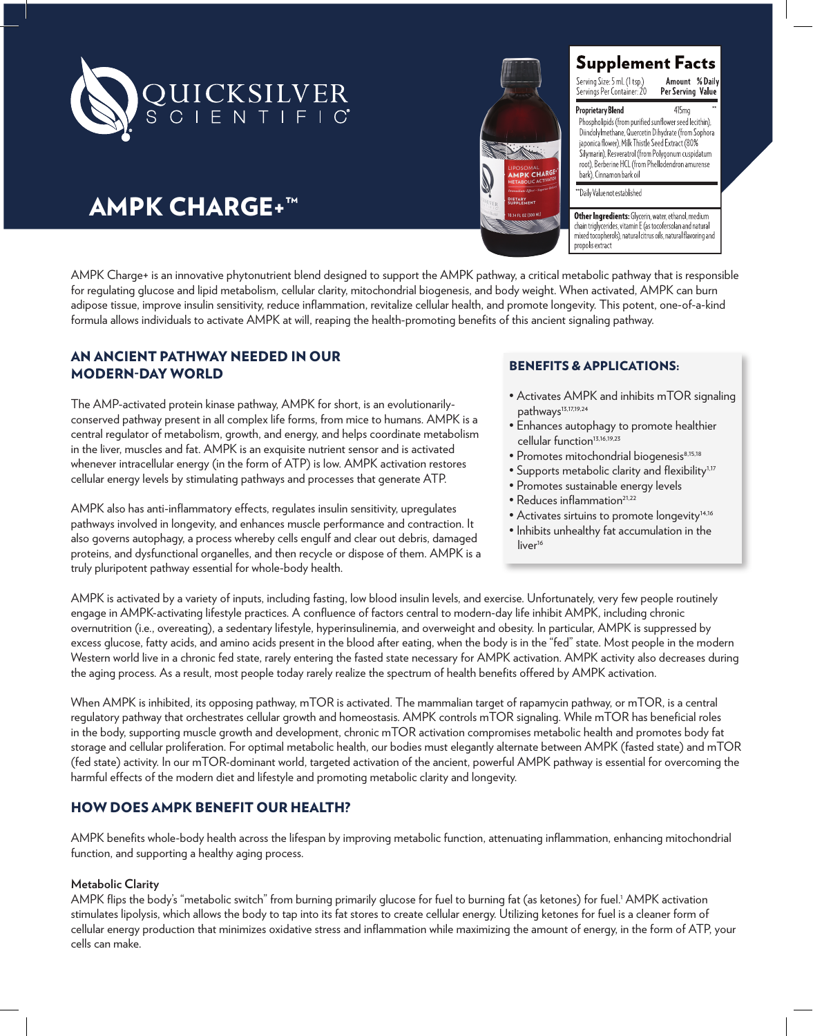

# **K CHAR** 14 FL 02 (300

# Supplement Facts

Serving Size: 5 mL (1 tsp.)<br>Servings Per Container: 20 Amount %Daily<br>Per Serving Value

415mo

**Proprietary Blend** Phospholipids (from purified sunflower seed lecithin), Diindolylmethane, Quercetin Dihydrate (from Sophora japonica flower), Milk Thistle Seed Extract (80% Silymarin), Resveratrol (from Polygonum cuspidatum root), Berberine HCL (from Phellodendron amurense bark) Cinnamon bark oil

"Daily Value not established

Other Ingredients: Glycerin, water, ethanol, medium chain triglycerides, vitamin E (as tocofersolan and natural mixed tocopherols), natural citrus oils, natural flavoring and propolis extract

# AMPK CHARGE+™

AMPK Charge+ is an innovative phytonutrient blend designed to support the AMPK pathway, a critical metabolic pathway that is responsible for regulating glucose and lipid metabolism, cellular clarity, mitochondrial biogenesis, and body weight. When activated, AMPK can burn adipose tissue, improve insulin sensitivity, reduce inflammation, revitalize cellular health, and promote longevity. This potent, one-of-a-kind formula allows individuals to activate AMPK at will, reaping the health-promoting benefits of this ancient signaling pathway.

# AN ANCIENT PATHWAY NEEDED IN OUR MODERN-DAY WORLD

The AMP-activated protein kinase pathway, AMPK for short, is an evolutionarilyconserved pathway present in all complex life forms, from mice to humans. AMPK is a central regulator of metabolism, growth, and energy, and helps coordinate metabolism in the liver, muscles and fat. AMPK is an exquisite nutrient sensor and is activated whenever intracellular energy (in the form of ATP) is low. AMPK activation restores cellular energy levels by stimulating pathways and processes that generate ATP.

AMPK also has anti-inflammatory effects, regulates insulin sensitivity, upregulates pathways involved in longevity, and enhances muscle performance and contraction. It also governs autophagy, a process whereby cells engulf and clear out debris, damaged proteins, and dysfunctional organelles, and then recycle or dispose of them. AMPK is a truly pluripotent pathway essential for whole-body health.

## BENEFITS & APPLICATIONS:

- Activates AMPK and inhibits mTOR signaling pathways<sup>13,17,19,24</sup>
- Enhances autophagy to promote healthier cellular function<sup>13,16,19,23</sup>
- Promotes mitochondrial biogenesis<sup>8,15,18</sup>
- Supports metabolic clarity and flexibility<sup>1,17</sup>
- Promotes sustainable energy levels
- Reduces inflammation<sup>21,22</sup>
- Activates sirtuins to promote longevity<sup>14,16</sup>
- Inhibits unhealthy fat accumulation in the liver<sup>16</sup>

AMPK is activated by a variety of inputs, including fasting, low blood insulin levels, and exercise. Unfortunately, very few people routinely engage in AMPK-activating lifestyle practices. A confluence of factors central to modern-day life inhibit AMPK, including chronic overnutrition (i.e., overeating), a sedentary lifestyle, hyperinsulinemia, and overweight and obesity. In particular, AMPK is suppressed by excess glucose, fatty acids, and amino acids present in the blood after eating, when the body is in the "fed" state. Most people in the modern Western world live in a chronic fed state, rarely entering the fasted state necessary for AMPK activation. AMPK activity also decreases during the aging process. As a result, most people today rarely realize the spectrum of health benefits offered by AMPK activation.

When AMPK is inhibited, its opposing pathway, mTOR is activated. The mammalian target of rapamycin pathway, or mTOR, is a central regulatory pathway that orchestrates cellular growth and homeostasis. AMPK controls mTOR signaling. While mTOR has beneficial roles in the body, supporting muscle growth and development, chronic mTOR activation compromises metabolic health and promotes body fat storage and cellular proliferation. For optimal metabolic health, our bodies must elegantly alternate between AMPK (fasted state) and mTOR (fed state) activity. In our mTOR-dominant world, targeted activation of the ancient, powerful AMPK pathway is essential for overcoming the harmful effects of the modern diet and lifestyle and promoting metabolic clarity and longevity.

# HOW DOES AMPK BENEFIT OUR HEALTH?

AMPK benefits whole-body health across the lifespan by improving metabolic function, attenuating inflammation, enhancing mitochondrial function, and supporting a healthy aging process.

#### **Metabolic Clarity**

AMPK flips the body's "metabolic switch" from burning primarily glucose for fuel to burning fat (as ketones) for fuel.' AMPK activation stimulates lipolysis, which allows the body to tap into its fat stores to create cellular energy. Utilizing ketones for fuel is a cleaner form of cellular energy production that minimizes oxidative stress and inflammation while maximizing the amount of energy, in the form of ATP, your cells can make.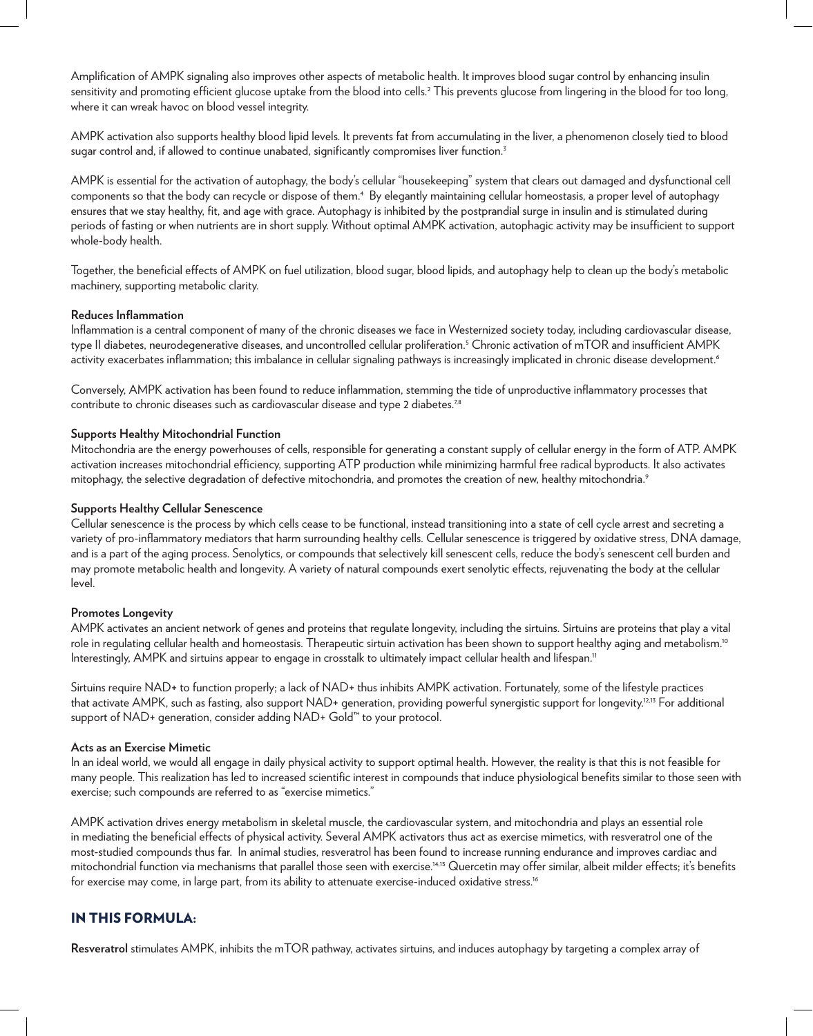Amplification of AMPK signaling also improves other aspects of metabolic health. It improves blood sugar control by enhancing insulin sensitivity and promoting efficient glucose uptake from the blood into cells.<sup>2</sup> This prevents glucose from lingering in the blood for too long, where it can wreak havoc on blood vessel integrity.

AMPK activation also supports healthy blood lipid levels. It prevents fat from accumulating in the liver, a phenomenon closely tied to blood sugar control and, if allowed to continue unabated, significantly compromises liver function.<sup>3</sup>

AMPK is essential for the activation of autophagy, the body's cellular "housekeeping" system that clears out damaged and dysfunctional cell components so that the body can recycle or dispose of them.<sup>4</sup> By elegantly maintaining cellular homeostasis, a proper level of autophagy ensures that we stay healthy, fit, and age with grace. Autophagy is inhibited by the postprandial surge in insulin and is stimulated during periods of fasting or when nutrients are in short supply. Without optimal AMPK activation, autophagic activity may be insufficient to support whole-body health.

Together, the beneficial effects of AMPK on fuel utilization, blood sugar, blood lipids, and autophagy help to clean up the body's metabolic machinery, supporting metabolic clarity.

#### **Reduces Inflammation**

Inflammation is a central component of many of the chronic diseases we face in Westernized society today, including cardiovascular disease, type II diabetes, neurodegenerative diseases, and uncontrolled cellular proliferation.5 Chronic activation of mTOR and insufficient AMPK activity exacerbates inflammation; this imbalance in cellular signaling pathways is increasingly implicated in chronic disease development.<sup>6</sup>

Conversely, AMPK activation has been found to reduce inflammation, stemming the tide of unproductive inflammatory processes that contribute to chronic diseases such as cardiovascular disease and type 2 diabetes.<sup>7,8</sup>

#### **Supports Healthy Mitochondrial Function**

Mitochondria are the energy powerhouses of cells, responsible for generating a constant supply of cellular energy in the form of ATP. AMPK activation increases mitochondrial efficiency, supporting ATP production while minimizing harmful free radical byproducts. It also activates mitophagy, the selective degradation of defective mitochondria, and promotes the creation of new, healthy mitochondria.9

#### **Supports Healthy Cellular Senescence**

Cellular senescence is the process by which cells cease to be functional, instead transitioning into a state of cell cycle arrest and secreting a variety of pro-inflammatory mediators that harm surrounding healthy cells. Cellular senescence is triggered by oxidative stress, DNA damage, and is a part of the aging process. Senolytics, or compounds that selectively kill senescent cells, reduce the body's senescent cell burden and may promote metabolic health and longevity. A variety of natural compounds exert senolytic effects, rejuvenating the body at the cellular level.

#### **Promotes Longevity**

AMPK activates an ancient network of genes and proteins that regulate longevity, including the sirtuins. Sirtuins are proteins that play a vital role in regulating cellular health and homeostasis. Therapeutic sirtuin activation has been shown to support healthy aging and metabolism.<sup>10</sup> Interestingly, AMPK and sirtuins appear to engage in crosstalk to ultimately impact cellular health and lifespan.<sup>11</sup>

Sirtuins require NAD+ to function properly; a lack of NAD+ thus inhibits AMPK activation. Fortunately, some of the lifestyle practices that activate AMPK, such as fasting, also support NAD+ generation, providing powerful synergistic support for longevity.<sup>12,13</sup> For additional support of NAD+ generation, consider adding NAD+ Gold<sup>™</sup> to your protocol.

#### **Acts as an Exercise Mimetic**

In an ideal world, we would all engage in daily physical activity to support optimal health. However, the reality is that this is not feasible for many people. This realization has led to increased scientific interest in compounds that induce physiological benefits similar to those seen with exercise; such compounds are referred to as "exercise mimetics."

AMPK activation drives energy metabolism in skeletal muscle, the cardiovascular system, and mitochondria and plays an essential role in mediating the beneficial effects of physical activity. Several AMPK activators thus act as exercise mimetics, with resveratrol one of the most-studied compounds thus far. In animal studies, resveratrol has been found to increase running endurance and improves cardiac and mitochondrial function via mechanisms that parallel those seen with exercise.14,15 Quercetin may offer similar, albeit milder effects; it's benefits for exercise may come, in large part, from its ability to attenuate exercise-induced oxidative stress.<sup>16</sup>

#### IN THIS FORMULA:

**Resveratrol** stimulates AMPK, inhibits the mTOR pathway, activates sirtuins, and induces autophagy by targeting a complex array of